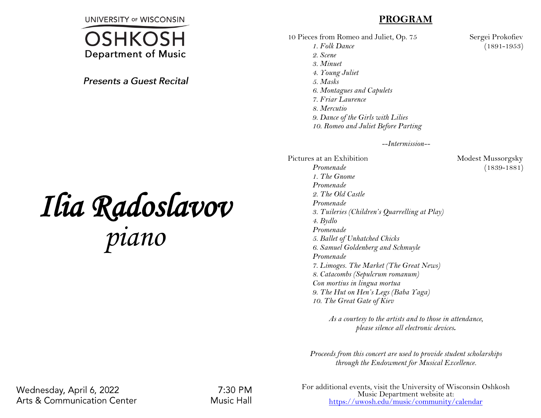**UNIVERSITY OF WISCONSIN** 



**Presents a Guest Recital** 

## *Ilia Radoslavov piano*

## **PROGRAM**

10 Pieces from Romeo and Juliet, Op. 75 Sergei Prokofiev *1. Folk Dance* (1891-1953) *2. Scene 3. Minuet 4. Young Juliet 5. Masks 6. Montagues and Capulets 7. Friar Laurence 8. Mercutio 9. Dance of the Girls with Lilies 10. Romeo and Juliet Before Parting*

*--Intermission--*

Pictures at an Exhibition Modest Mussorgsky *Promenade* (1839-1881) *1. The Gnome Promenade 2. The Old Castle Promenade 3. Tuileries (Children's Quarrelling at Play) 4. Bydlo Promenade 5. Ballet of Unhatched Chicks 6. Samuel Goldenberg and Schmuyle Promenade 7. Limoges. The Market (The Great News) 8. Catacombs (Sepulcrum romanum) Con mortius in lingua mortua 9. The Hut on Hen's Legs (Baba Yaga) 10. The Great Gate of Kiev*

> *As a courtesy to the artists and to those in attendance, please silence all electronic devices***.**

*Proceeds from this concert are used to provide student scholarships through the Endowment for Musical Excellence.*

Wednesday, April 6, 2022 **Arts & Communication Center** 

7:30 PM **Music Hall** 

For additional events, visit the University of Wisconsin Oshkosh Music Department website at: <https://uwosh.edu/music/community/calendar>